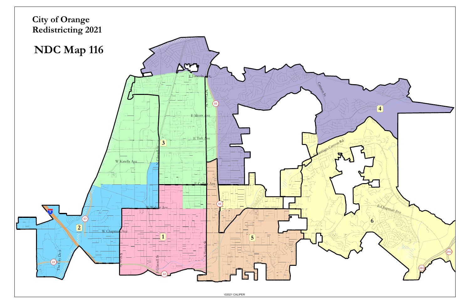